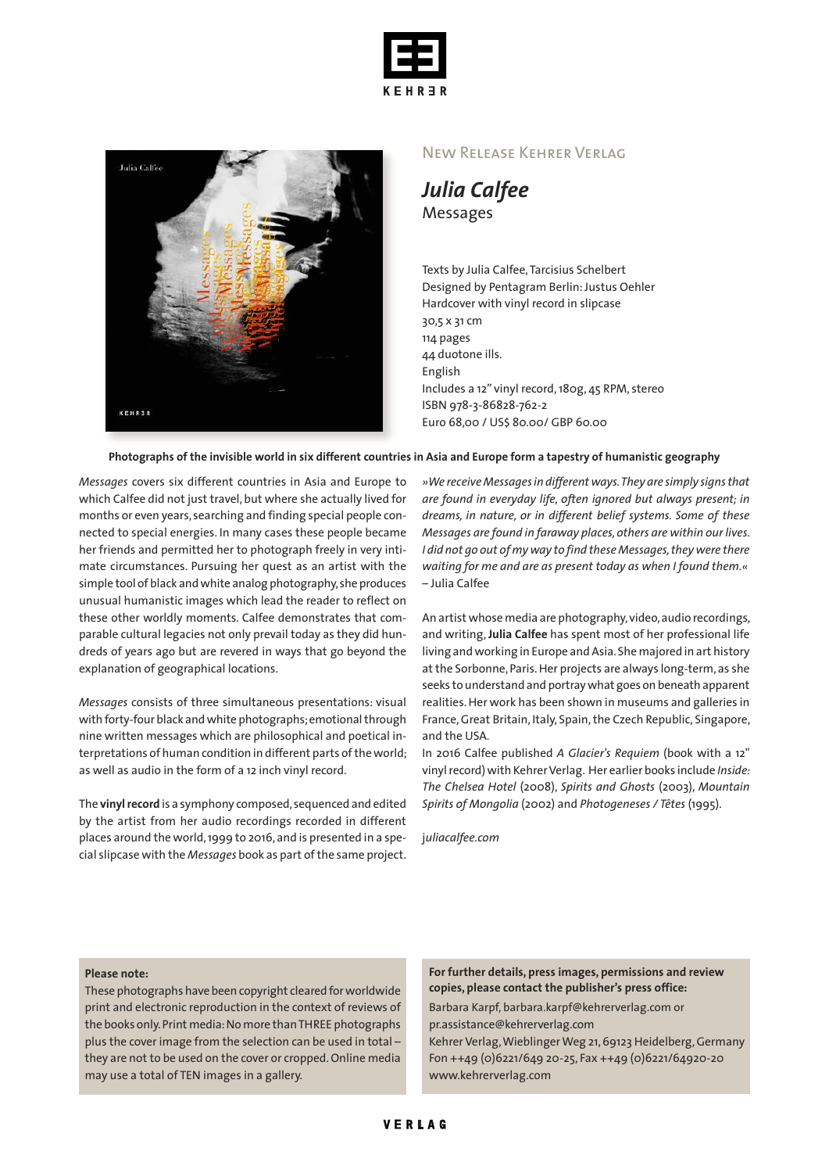



## New Release Kehrer Verlag

*Julia Calfee* Messages

Texts by Julia Calfee,Tarcisius Schelbert Designed by Pentagram Berlin:Justus Oehler Hardcover with vinyl record in slipcase 30,5 x 31 cm 114 pages 44 duotone ills. English Includes a 12" vinyl record,180g, 45 RPM, stereo ISBN 978-3-86828-762-2 Euro 68,00 / US\$ 80.00/ GBP 60.00

## Photographs of the invisible world in six different countries in Asia and Europe form a tapestry of humanistic geography

*Messages* covers six different countries in Asia and Europe to which Calfee did not just travel, but where she actually lived for months or even years, searching and finding special people connected to special energies. In many cases these people became her friends and permitted her to photograph freely in very intimate circumstances. Pursuing her quest as an artist with the simple tool of black andwhite analog photography,she produces unusual humanistic images which lead the reader to reflect on these other worldly moments. Calfee demonstrates that comparable cultural legacies not only prevail today as they did hundreds of years ago but are revered in ways that go beyond the explanation of geographical locations.

*Messages* consists of three simultaneous presentations: visual with forty-four black and white photographs; emotional through nine written messages which are philosophical and poetical interpretations of human condition in different parts of the world; as well as audio in the form of a 12 inch vinyl record.

The vinyl record is a symphony composed, sequenced and edited by the artist from her audio recordings recorded in different places around the world,1999 to 2016,and is presented in a special slipcase with the *Messages* book as part ofthe same project.

*»We receive Messagesin different ways.They are simply signsthat are found in everyday life, often ignored but always present; in dreams, in nature, or in different belief systems. Some of these Messages are found in faraway places,others are within our lives. I did not go out of myway to find these Messages,theywere there waiting for me and are as present today as when I found them.«* – Julia Calfee

An artist whose media are photography, video, audio recordings, and writing, **Julia Calfee** has spent most of her professional life living and working in Europe and Asia. She majored in art history at the Sorbonne, Paris. Her projects are always long-term, as she seeks to understand and portraywhat goes on beneath apparent realities.Her work has been shown in museums and galleries in France, Great Britain, Italy, Spain, the Czech Republic, Singapore, and the USA.

In 2016 Calfee published *A Glacier's Requiem* (book with a 12" vinyl record) with Kehrer Verlag. Her earlier books include *Inside*: *The Chelsea Hotel* (2008), *Spirits and Ghosts* (2003), *Mountain Spirits of Mongolia* (2002) and *Photogeneses / Têtes* (1995).

j*uliacalfee.com*

## **Please note:**

These photographs have been copyright cleared forworldwide print and electronic reproduction in the context of reviews of the books only.Print media:No more thanTHREE photographs plus the cover image from the selection can be used in total – they are not to be used on the cover or cropped.Online media may use a total of TEN images in a gallery.

**For further details, press images, permissions and review copies, please contact the publisher's press office:**

Barbara Karpf, barbara.karpf@kehrerverlag.com or pr.assistance@kehrerverlag.com

Kehrer Verlag,WieblingerWeg 21,69123 Heidelberg,Germany Fon ++49 (0)6221/649 20-25, Fax ++49 (0)6221/64920-20 www.kehrerverlag.com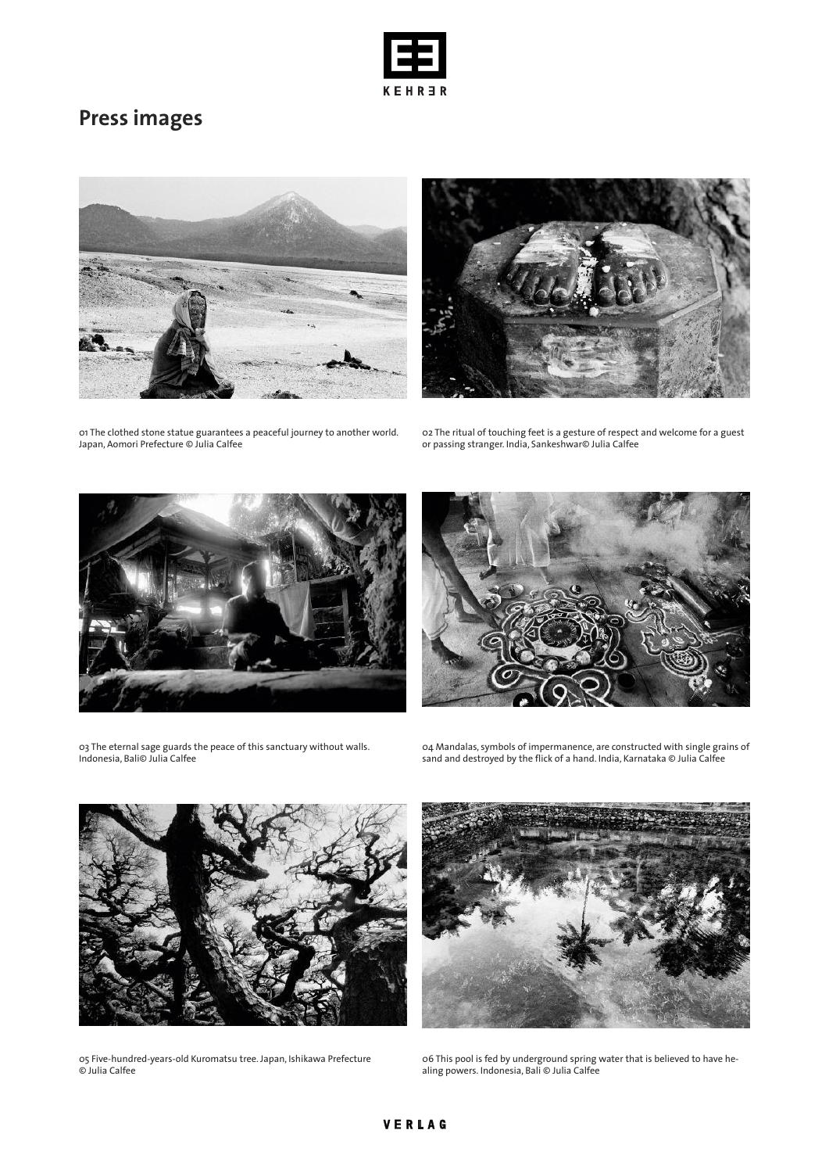

## **Press images**





01 The clothed stone statue guarantees a peaceful journey to another world. Japan, Aomori Prefecture © Julia Calfee

02 The ritual of touching feet is a gesture of respect and welcome for a guest or passing stranger. India, Sankeshwar© Julia Calfee





03 The eternal sage guards the peace of this sanctuary without walls. Indonesia, Bali© Julia Calfee

04 Mandalas, symbols of impermanence, are constructed with single grains of sand and destroyed by the flick of a hand. India, Karnataka © Julia Calfee



05 Five-hundred-years-old Kuromatsu tree. Japan, Ishikawa Prefecture © Julia Calfee



06 This pool is fed by underground spring water that is believed to have healing powers. Indonesia, Bali © Julia Calfee